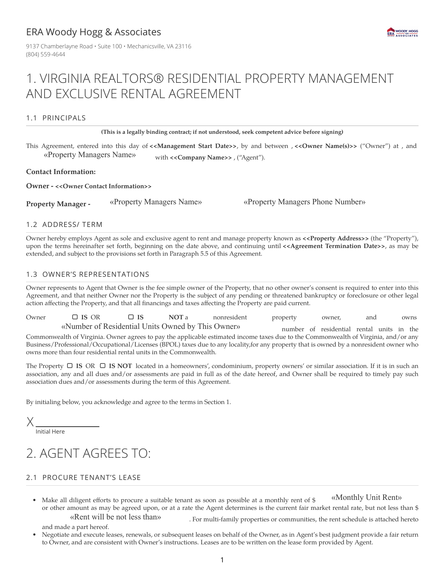### ERA Woody Hogg & Associates

9137 Chamberlayne Road · Suite 100 · Mechanicsville, VA 23116 (804) 559-4644



## 1. VIRGINIA REALTORS® RESIDENTIAL PROPERTY MANAGEMENT AND EXCLUSIVE RENTAL AGREEMENT

#### 1.1 PRINCIPALS

**(This is a legally binding contract; if not understood, seek competent advice before signing)**

This Agreement, entered into this day of **<<Management Start Date>>**, by and between , **<<Owner Name(s)>>** ("Owner") at , and «Property Managers Name» with **<<Company Name>>** , ("Agent").

**Contact Information:**

**Owner - <<Owner Contact Information>>**

**Property Manager -** «Property Managers Name» «Property Managers Phone Number»

#### 1.2 ADDRESS/ TERM

Owner hereby employs Agent as sole and exclusive agent to rent and manage property known as **<<Property Address>>** (the "Property"), upon the terms hereinafter set forth, beginning on the date above, and continuing until **<<Agreement Termination Date>>**, as may be extended, and subject to the provisions set forth in Paragraph 5.5 of this Agreement.

#### 1.3 OWNER'S REPRESENTATIONS

Owner represents to Agent that Owner is the fee simple owner of the Property, that no other owner's consent is required to enter into this Agreement, and that neither Owner nor the Property is the subject of any pending or threatened bankruptcy or foreclosure or other legal action affecting the Property, and that all financings and taxes affecting the Property are paid current.

| Owner                                                                                                                                   | $\Box$ IS OR                                                                                                                        | $\Box$ IS | NOT a | nonresident | property | owner,                                    | and |  | owns |  |
|-----------------------------------------------------------------------------------------------------------------------------------------|-------------------------------------------------------------------------------------------------------------------------------------|-----------|-------|-------------|----------|-------------------------------------------|-----|--|------|--|
|                                                                                                                                         | «Number of Residential Units Owned by This Owner»                                                                                   |           |       |             |          | number of residential rental units in the |     |  |      |  |
|                                                                                                                                         | Commonwealth of Virginia. Owner agrees to pay the applicable estimated income taxes due to the Commonwealth of Virginia, and/or any |           |       |             |          |                                           |     |  |      |  |
| Business/Professional/Occupational/Licenses (BPOL) taxes due to any locality, for any property that is owned by a nonresident owner who |                                                                                                                                     |           |       |             |          |                                           |     |  |      |  |
|                                                                                                                                         | owns more than four residential rental units in the Commonwealth.                                                                   |           |       |             |          |                                           |     |  |      |  |

The Property **IS** OR **IS NOT** located in a homeowners', condominium, property owners' or similar association. If it is in such an association, any and all dues and/or assessments are paid in full as of the date hereof, and Owner shall be required to timely pay such association dues and/or assessments during the term of this Agreement.

By initialing below, you acknowledge and agree to the terms in Section 1.

X

Initial Here

# 2. AGENT AGREES TO:

### 2.1 PROCURE TENANT'S LEASE

Make all diligent efforts to procure a suitable tenant as soon as possible at a monthly rent of  $\frac{1}{2}$  «Monthly Unit Rent» or other amount as may be agreed upon, or at a rate the Agent determines is the current fair market rental rate, but not less than \$ «Rent will be not less than» . For multi-family properties or communities, the rent schedule is attached hereto

and made a part hereof.

• Negotiate and execute leases, renewals, or subsequent leases on behalf of the Owner, as in Agent's best judgment provide a fair return to Owner, and are consistent with Owner's instructions. Leases are to be written on the lease form provided by Agent.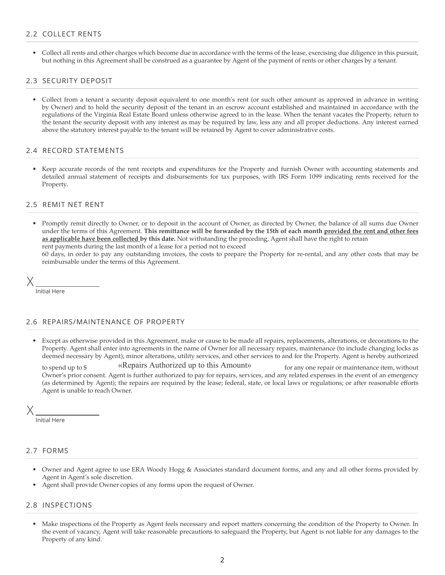#### 2.2 COLLECT RENTS

• Collect all rents and other charges which become due in accordance with the terms of the lease, exercising due diligence in this pursuit, but nothing in this Agreement shall be construed as a guarantee by Agent of the payment of rents or other charges by a tenant.

#### 2.3 SECURITY DEPOSIT

• Collect from a tenant a security deposit equivalent to one month's rent (or such other amount as approved in advance in writing by Owner) and to hold the security deposit of the tenant in an escrow account established and maintained in accordance with the regulations of the Virginia Real Estate Board unless otherwise agreed to in the lease. When the tenant vacates the Property, return to the tenant the security deposit with any interest as may be required by law, less any and all proper deductions. Any interest earned above the statutory interest payable to the tenant will be retained by Agent to cover administrative costs.

#### 2.4 RECORD STATEMENTS

• Keep accurate records of the rent receipts and expenditures for the Property and furnish Owner with accounting statements and detailed annual statement of receipts and disbursements for tax purposes, with IRS Form 1099 indicating rents received for the Property.

#### 2.5 REMIT NET RENT

• Promptly remit directly to Owner, or to deposit in the account of Owner, as directed by Owner, the balance of all sums due Owner under the terms of this Agreement. This remittance will be forwarded by the 15th of each month provided the rent and other fees **as applicable have been collected by this date.** Not withstanding the preceding, Agent shall have the right to retain rent payments during the last month of a lease for a period not to exceed

60 days, in order to pay any outstanding invoices, the costs to prepare the Property for re-rental, and any other costs that may be reimbursable under the terms of this Agreement.

X

Initial Here

#### 2.6 REPAIRS/MAINTENANCE OF PROPERTY

• Except as otherwise provided in this Agreement, make or cause to be made all repairs, replacements, alterations, or decorations to the Property. Agent shall enter into agreements in the name of Owner for all necessary repairs, maintenance (to include changing locks as deemed necessary by Agent), minor alterations, utility services, and other services to and for the Property. Agent is hereby authorized

to spend up to \$ "
(Repairs Authorized up to this Amount) for any one repair or maintenance item, without Owner's prior consent. Agent is further authorized to pay for repairs, services, and any related expenses in the event of an emergency (as determined by Agent); the repairs are required by the lease; federal, state, or local laws or regulations; or after reasonable efforts Agent is unable to reach Owner.

X

Initial Here

#### 2.7 FORMS

- Owner and Agent agree to use ERA Woody Hogg & Associates standard document forms, and any and all other forms provided by Agent in Agent's sole discretion.
- Agent shall provide Owner copies of any forms upon the request of Owner.

#### 2.8 INSPECTIONS

• Make inspections of the Property as Agent feels necessary and report matters concerning the condition of the Property to Owner. In the event of vacancy, Agent will take reasonable precautions to safeguard the Property, but Agent is not liable for any damages to the Property of any kind.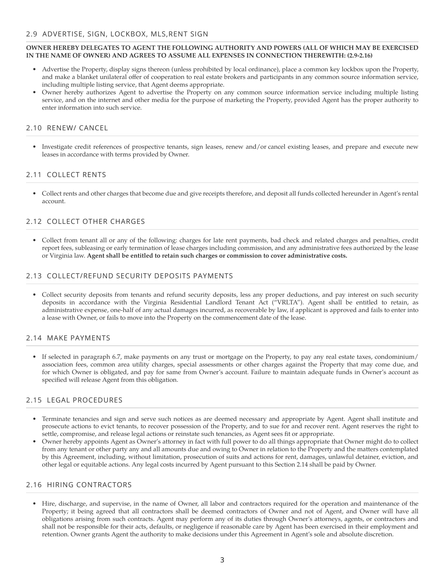#### **OWNER HEREBY DELEGATES TO AGENT THE FOLLOWING AUTHORITY AND POWERS (ALL OF WHICH MAY BE EXERCISED IN THE NAME OF OWNER) AND AGREES TO ASSUME ALL EXPENSES IN CONNECTION THEREWITH: (2.9-2.16)**

- Advertise the Property, display signs thereon (unless prohibited by local ordinance), place a common key lockbox upon the Property, and make a blanket unilateral offer of cooperation to real estate brokers and participants in any common source information service, including multiple listing service, that Agent deems appropriate.
- Owner hereby authorizes Agent to advertise the Property on any common source information service including multiple listing service, and on the internet and other media for the purpose of marketing the Property, provided Agent has the proper authority to enter information into such service.

#### 2.10 RENEW/ CANCEL

• Investigate credit references of prospective tenants, sign leases, renew and/or cancel existing leases, and prepare and execute new leases in accordance with terms provided by Owner.

#### 2.11 COLLECT RENTS

• Collect rents and other charges that become due and give receipts therefore, and deposit all funds collected hereunder in Agent's rental account.

#### 2.12 COLLECT OTHER CHARGES

• Collect from tenant all or any of the following: charges for late rent payments, bad check and related charges and penalties, credit report fees, subleasing or early termination of lease charges including commission, and any administrative fees authorized by the lease or Virginia law. **Agent shall be entitled to retain such charges or commission to cover administrative costs.**

#### 2.13 COLLECT/REFUND SECURITY DEPOSITS PAYMENTS

• Collect security deposits from tenants and refund security deposits, less any proper deductions, and pay interest on such security deposits in accordance with the Virginia Residential Landlord Tenant Act ("VRLTA"). Agent shall be entitled to retain, as administrative expense, one-half of any actual damages incurred, as recoverable by law, if applicant is approved and fails to enter into a lease with Owner, or fails to move into the Property on the commencement date of the lease.

#### 2.14 MAKE PAYMENTS

• If selected in paragraph 6.7, make payments on any trust or mortgage on the Property, to pay any real estate taxes, condominium/ association fees, common area utility charges, special assessments or other charges against the Property that may come due, and for which Owner is obligated, and pay for same from Owner's account. Failure to maintain adequate funds in Owner's account as specified will release Agent from this obligation.

#### 2.15 LEGAL PROCEDURES

- Terminate tenancies and sign and serve such notices as are deemed necessary and appropriate by Agent. Agent shall institute and prosecute actions to evict tenants, to recover possession of the Property, and to sue for and recover rent. Agent reserves the right to settle, compromise, and release legal actions or reinstate such tenancies, as Agent sees fit or appropriate.
- Owner hereby appoints Agent as Owner's attorney in fact with full power to do all things appropriate that Owner might do to collect from any tenant or other party any and all amounts due and owing to Owner in relation to the Property and the matters contemplated by this Agreement, including, without limitation, prosecution of suits and actions for rent, damages, unlawful detainer, eviction, and other legal or equitable actions. Any legal costs incurred by Agent pursuant to this Section 2.14 shall be paid by Owner.

#### 2.16 HIRING CONTRACTORS

• Hire, discharge, and supervise, in the name of Owner, all labor and contractors required for the operation and maintenance of the Property; it being agreed that all contractors shall be deemed contractors of Owner and not of Agent, and Owner will have all obligations arising from such contracts. Agent may perform any of its duties through Owner's attorneys, agents, or contractors and shall not be responsible for their acts, defaults, or negligence if reasonable care by Agent has been exercised in their employment and retention. Owner grants Agent the authority to make decisions under this Agreement in Agent's sole and absolute discretion.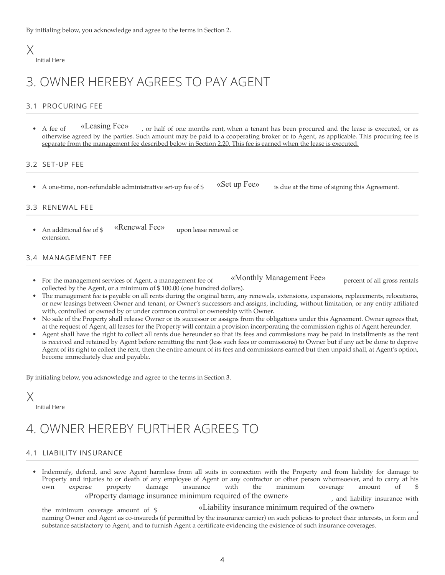By initialing below, you acknowledge and agree to the terms in Section 2.

### X

Initial Here

## 3. OWNER HEREBY AGREES TO PAY AGENT

#### 3.1 PROCURING FEE

A fee of «Leasing Fee», or half of one months rent, when a tenant has been procured and the lease is executed, or as otherwise agreed by the parties. Such amount may be paid to a cooperating broker or to Agent, as applicable. This procuring fee is separate from the management fee described below in Section 2.20. This fee is earned when the lease is executed.

#### 3.2 SET-UP FEE

A one-time, non-refundable administrative set-up fee of  $\frac{1}{2}$  «Set up Fee» is due at the time of signing this Agreement.

#### 3.3 RENEWAL FEE

An additional fee of  $\frac{1}{2}$  «Renewal Fee» upon lease renewal or extension.

#### 3.4 MANAGEMENT FEE

- For the management services of Agent, a management fee of «Monthly Management Fee» percent of all gross rentals collected by the Agent, or a minimum of \$ 100.00 (one hundred dollars).
- The management fee is payable on all rents during the original term, any renewals, extensions, expansions, replacements, relocations, or new leasings between Owner and tenant, or Owner's successors and assigns, including, without limitation, or any entity affiliated with, controlled or owned by or under common control or ownership with Owner.
- No sale of the Property shall release Owner or its successor or assigns from the obligations under this Agreement. Owner agrees that, at the request of Agent, all leases for the Property will contain a provision incorporating the commission rights of Agent hereunder.
- Agent shall have the right to collect all rents due hereunder so that its fees and commissions may be paid in installments as the rent is received and retained by Agent before remitting the rent (less such fees or commissions) to Owner but if any act be done to deprive Agent of its right to collect the rent, then the entire amount of its fees and commissions earned but then unpaid shall, at Agent's option, become immediately due and payable.

By initialing below, you acknowledge and agree to the terms in Section 3.

### X

Initial Here

## 4. OWNER HEREBY FURTHER AGREES TO

#### 4.1 LIABILITY INSURANCE

• Indemnify, defend, and save Agent harmless from all suits in connection with the Property and from liability for damage to Property and injuries to or death of any employee of Agent or any contractor or other person whomsoever, and to carry at his own expense property damage insurance with the minimum coverage amount of \$ «Property damage insurance minimum required of the owner» , and liability insurance with

the minimum coverage amount of  $\frac{1}{2}$  «Liability insurance minimum required of the owner» naming Owner and Agent as co-insureds (if permitted by the insurance carrier) on such policies to protect their interests, in form and

substance satisfactory to Agent, and to furnish Agent a certificate evidencing the existence of such insurance coverages.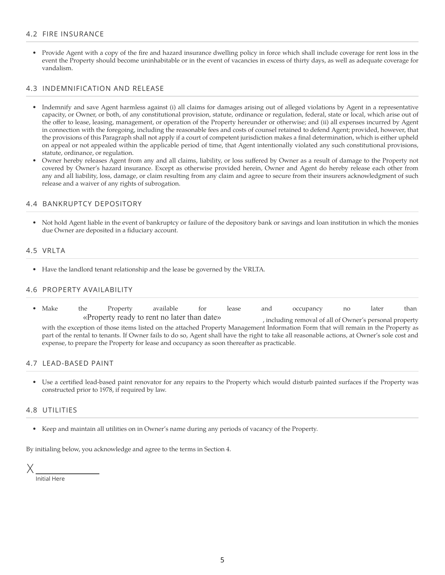#### 4.2 FIRE INSURANCE

• Provide Agent with a copy of the fire and hazard insurance dwelling policy in force which shall include coverage for rent loss in the event the Property should become uninhabitable or in the event of vacancies in excess of thirty days, as well as adequate coverage for vandalism.

#### 4.3 INDEMNIFICATION AND RELEASE

- Indemnify and save Agent harmless against (i) all claims for damages arising out of alleged violations by Agent in a representative capacity, or Owner, or both, of any constitutional provision, statute, ordinance or regulation, federal, state or local, which arise out of the offer to lease, leasing, management, or operation of the Property hereunder or otherwise; and (ii) all expenses incurred by Agent in connection with the foregoing, including the reasonable fees and costs of counsel retained to defend Agent; provided, however, that the provisions of this Paragraph shall not apply if a court of competent jurisdiction makes a final determination, which is either upheld on appeal or not appealed within the applicable period of time, that Agent intentionally violated any such constitutional provisions, statute, ordinance, or regulation.
- Owner hereby releases Agent from any and all claims, liability, or loss suffered by Owner as a result of damage to the Property not covered by Owner's hazard insurance. Except as otherwise provided herein, Owner and Agent do hereby release each other from any and all liability, loss, damage, or claim resulting from any claim and agree to secure from their insurers acknowledgment of such release and a waiver of any rights of subrogation.

#### 4.4 BANKRUPTCY DEPOSITORY

• Not hold Agent liable in the event of bankruptcy or failure of the depository bank or savings and loan institution in which the monies due Owner are deposited in a fiduciary account.

#### 4.5 VRLTA

• Have the landlord tenant relationship and the lease be governed by the VRLTA.

#### 4.6 PROPERTY AVAILABILITY

• Make the Property available for lease and occupancy no later than «Property ready to rent no later than date» , including removal of all of Owner's personal property with the exception of those items listed on the attached Property Management Information Form that will remain in the Property as part of the rental to tenants. If Owner fails to do so, Agent shall have the right to take all reasonable actions, at Owner's sole cost and expense, to prepare the Property for lease and occupancy as soon thereafter as practicable.

#### 4.7 LEAD-BASED PAINT

• Use a certified lead-based paint renovator for any repairs to the Property which would disturb painted surfaces if the Property was constructed prior to 1978, if required by law.

#### 4.8 UTILITIES

• Keep and maintain all utilities on in Owner's name during any periods of vacancy of the Property.

By initialing below, you acknowledge and agree to the terms in Section 4.

Initial Here X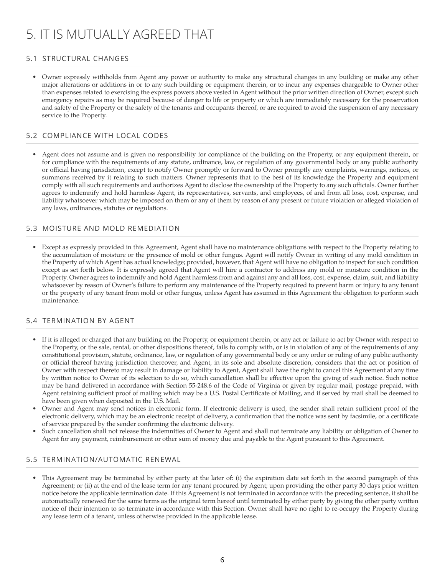# 5. IT IS MUTUALLY AGREED THAT

#### 5.1 STRUCTURAL CHANGES

• Owner expressly withholds from Agent any power or authority to make any structural changes in any building or make any other major alterations or additions in or to any such building or equipment therein, or to incur any expenses chargeable to Owner other than expenses related to exercising the express powers above vested in Agent without the prior written direction of Owner, except such emergency repairs as may be required because of danger to life or property or which are immediately necessary for the preservation and safety of the Property or the safety of the tenants and occupants thereof, or are required to avoid the suspension of any necessary service to the Property.

#### 5.2 COMPLIANCE WITH LOCAL CODES

• Agent does not assume and is given no responsibility for compliance of the building on the Property, or any equipment therein, or for compliance with the requirements of any statute, ordinance, law, or regulation of any governmental body or any public authority or official having jurisdiction, except to notify Owner promptly or forward to Owner promptly any complaints, warnings, notices, or summons received by it relating to such matters. Owner represents that to the best of its knowledge the Property and equipment comply with all such requirements and authorizes Agent to disclose the ownership of the Property to any such officials. Owner further agrees to indemnify and hold harmless Agent, its representatives, servants, and employees, of and from all loss, cost, expense, and liability whatsoever which may be imposed on them or any of them by reason of any present or future violation or alleged violation of any laws, ordinances, statutes or regulations.

#### 5.3 MOISTURE AND MOLD REMEDIATION

• Except as expressly provided in this Agreement, Agent shall have no maintenance obligations with respect to the Property relating to the accumulation of moisture or the presence of mold or other fungus. Agent will notify Owner in writing of any mold condition in the Property of which Agent has actual knowledge; provided, however, that Agent will have no obligation to inspect for such condition except as set forth below. It is expressly agreed that Agent will hire a contractor to address any mold or moisture condition in the Property. Owner agrees to indemnify and hold Agent harmless from and against any and all loss, cost, expense, claim, suit, and liability whatsoever by reason of Owner's failure to perform any maintenance of the Property required to prevent harm or injury to any tenant or the property of any tenant from mold or other fungus, unless Agent has assumed in this Agreement the obligation to perform such maintenance.

#### 5.4 TERMINATION BY AGENT

- If it is alleged or charged that any building on the Property, or equipment therein, or any act or failure to act by Owner with respect to the Property, or the sale, rental, or other dispositions thereof, fails to comply with, or is in violation of any of the requirements of any constitutional provision, statute, ordinance, law, or regulation of any governmental body or any order or ruling of any public authority or official thereof having jurisdiction thereover, and Agent, in its sole and absolute discretion, considers that the act or position of Owner with respect thereto may result in damage or liability to Agent, Agent shall have the right to cancel this Agreement at any time by written notice to Owner of its selection to do so, which cancellation shall be effective upon the giving of such notice. Such notice may be hand delivered in accordance with Section 55-248.6 of the Code of Virginia or given by regular mail, postage prepaid, with Agent retaining sufficient proof of mailing which may be a U.S. Postal Certificate of Mailing, and if served by mail shall be deemed to have been given when deposited in the U.S. Mail.
- Owner and Agent may send notices in electronic form. If electronic delivery is used, the sender shall retain sufficient proof of the electronic delivery, which may be an electronic receipt of delivery, a confirmation that the notice was sent by facsimile, or a certificate of service prepared by the sender confirming the electronic delivery.
- Such cancellation shall not release the indemnities of Owner to Agent and shall not terminate any liability or obligation of Owner to Agent for any payment, reimbursement or other sum of money due and payable to the Agent pursuant to this Agreement.

#### 5.5 TERMINATION/AUTOMATIC RENEWAL

• This Agreement may be terminated by either party at the later of: (i) the expiration date set forth in the second paragraph of this Agreement; or (ii) at the end of the lease term for any tenant procured by Agent; upon providing the other party 30 days prior written notice before the applicable termination date. If this Agreement is not terminated in accordance with the preceding sentence, it shall be automatically renewed for the same terms as the original term hereof until terminated by either party by giving the other party written notice of their intention to so terminate in accordance with this Section. Owner shall have no right to re-occupy the Property during any lease term of a tenant, unless otherwise provided in the applicable lease.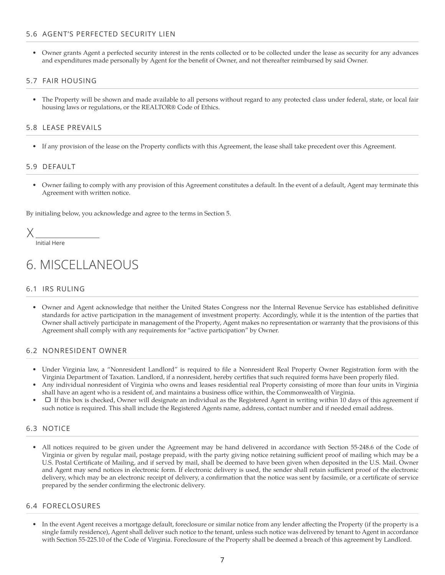#### 5.6 AGENT'S PERFECTED SECURITY LIEN

• Owner grants Agent a perfected security interest in the rents collected or to be collected under the lease as security for any advances and expenditures made personally by Agent for the benefit of Owner, and not thereafter reimbursed by said Owner.

#### 5.7 FAIR HOUSING

• The Property will be shown and made available to all persons without regard to any protected class under federal, state, or local fair housing laws or regulations, or the REALTOR® Code of Ethics.

#### 5.8 LEASE PREVAILS

• If any provision of the lease on the Property conflicts with this Agreement, the lease shall take precedent over this Agreement.

#### 5.9 DEFAULT

• Owner failing to comply with any provision of this Agreement constitutes a default. In the event of a default, Agent may terminate this Agreement with written notice.

By initialing below, you acknowledge and agree to the terms in Section 5.

X

Initial Here

## 6. MISCELLANEOUS

#### 6.1 IRS RULING

• Owner and Agent acknowledge that neither the United States Congress nor the Internal Revenue Service has established definitive standards for active participation in the management of investment property. Accordingly, while it is the intention of the parties that Owner shall actively participate in management of the Property, Agent makes no representation or warranty that the provisions of this Agreement shall comply with any requirements for "active participation" by Owner.

#### 6.2 NONRESIDENT OWNER

- Under Virginia law, a "Nonresident Landlord" is required to file a Nonresident Real Property Owner Registration form with the Virginia Department of Taxation. Landlord, if a nonresident, hereby certifies that such required forms have been properly filed.
- Any individual nonresident of Virginia who owns and leases residential real Property consisting of more than four units in Virginia shall have an agent who is a resident of, and maintains a business office within, the Commonwealth of Virginia.
- $\Box$  If this box is checked, Owner will designate an individual as the Registered Agent in writing within 10 days of this agreement if such notice is required. This shall include the Registered Agents name, address, contact number and if needed email address.

#### 6.3 NOTICE

• All notices required to be given under the Agreement may be hand delivered in accordance with Section 55-248.6 of the Code of Virginia or given by regular mail, postage prepaid, with the party giving notice retaining sufficient proof of mailing which may be a U.S. Postal Certificate of Mailing, and if served by mail, shall be deemed to have been given when deposited in the U.S. Mail. Owner and Agent may send notices in electronic form. If electronic delivery is used, the sender shall retain sufficient proof of the electronic delivery, which may be an electronic receipt of delivery, a confirmation that the notice was sent by facsimile, or a certificate of service prepared by the sender confirming the electronic delivery.

#### 6.4 FORECLOSURES

• In the event Agent receives a mortgage default, foreclosure or similar notice from any lender affecting the Property (if the property is a single family residence), Agent shall deliver such notice to the tenant, unless such notice was delivered by tenant to Agent in accordance with Section 55-225.10 of the Code of Virginia. Foreclosure of the Property shall be deemed a breach of this agreement by Landlord.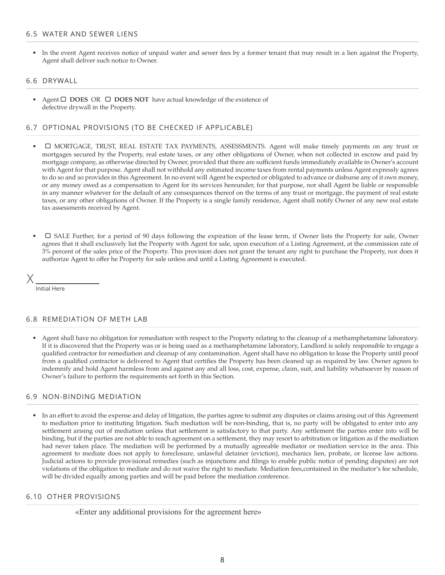#### 6.5 WATER AND SEWER LIENS

• In the event Agent receives notice of unpaid water and sewer fees by a former tenant that may result in a lien against the Property, Agent shall deliver such notice to Owner.

#### 6.6 DRYWALL

Agent **□ DOES** OR □ DOES NOT have actual knowledge of the existence of defective drywall in the Property.

#### 6.7 OPTIONAL PROVISIONS (TO BE CHECKED IF APPLICABLE)

- $\Box$  MORTGAGE, TRUST, REAL ESTATE TAX PAYMENTS, ASSESSMENTS. Agent will make timely payments on any trust or mortgages secured by the Property, real estate taxes, or any other obligations of Owner, when not collected in escrow and paid by mortgage company, as otherwise directed by Owner, provided that there are sufficient funds immediately available in Owner's account with Agent for that purpose. Agent shall not withhold any estimated income taxes from rental payments unless Agent expressly agrees to do so and so provides in this Agreement. In no event will Agent be expected or obligated to advance or disburse any of it own money, or any money owed as a compensation to Agent for its services hereunder, for that purpose, nor shall Agent be liable or responsible in any manner whatever for the default of any consequences thereof on the terms of any trust or mortgage, the payment of real estate taxes, or any other obligations of Owner. If the Property is a single family residence, Agent shall notify Owner of any new real estate tax assessments received by Agent.
- SALE Further, for a period of 90 days following the expiration of the lease term, if Owner lists the Property for sale, Owner agrees that it shall exclusively list the Property with Agent for sale, upon execution of a Listing Agreement, at the commission rate of 3% percent of the sales price of the Property. This provision does not grant the tenant any right to purchase the Property, nor does it authorize Agent to offer he Property for sale unless and until a Listing Agreement is executed.

Initial Here

#### 6.8 REMEDIATION OF METH LAB

• Agent shall have no obligation for remediation with respect to the Property relating to the cleanup of a methamphetamine laboratory. If it is discovered that the Property was or is being used as a methamphetamine laboratory, Landlord is solely responsible to engage a qualified contractor for remediation and cleanup of any contamination. Agent shall have no obligation to lease the Property until proof from a qualified contractor is delivered to Agent that certifies the Property has been cleaned up as required by law. Owner agrees to indemnify and hold Agent harmless from and against any and all loss, cost, expense, claim, suit, and liability whatsoever by reason of Owner's failure to perform the requirements set forth in this Section.

#### 6.9 NON-BINDING MEDIATION

• In an effort to avoid the expense and delay of litigation, the parties agree to submit any disputes or claims arising out of this Agreement to mediation prior to instituting litigation. Such mediation will be non-binding, that is, no party will be obligated to enter into any settlement arising out of mediation unless that settlement is satisfactory to that party. Any settlement the parties enter into will be binding, but if the parties are not able to reach agreement on a settlement, they may resort to arbitration or litigation as if the mediation had never taken place. The mediation will be performed by a mutually agreeable mediator or mediation service in the area. This agreement to mediate does not apply to foreclosure, unlawful detainer (eviction), mechanics lien, probate, or license law actions. Judicial actions to provide provisional remedies (such as injunctions and filings to enable public notice of pending disputes) are not violations of the obligation to mediate and do not waive the right to mediate. Mediation fees,contained in the mediator's fee schedule, will be divided equally among parties and will be paid before the mediation conference.

#### 6.10 OTHER PROVISIONS

«Enter any additional provisions for the agreement here»